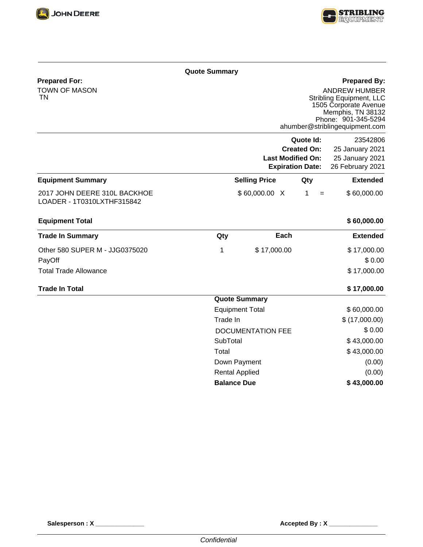



## **Prepared By:**

**Prepared For:** TOWN OF MASON TN

ANDREW HUMBER Stribling Equipment, LLC 1505 Corporate Avenue Memphis, TN 38132 Phone: 901-345-5294 ahumber@striblingequipment.com

|                                                            |                          | <b>Last Modified On:</b><br><b>Expiration Date:</b> | Quote Id:<br><b>Created On:</b> | 23542806<br>25 January 2021<br>25 January 2021<br>26 February 2021 |
|------------------------------------------------------------|--------------------------|-----------------------------------------------------|---------------------------------|--------------------------------------------------------------------|
| <b>Equipment Summary</b>                                   |                          | <b>Selling Price</b>                                | Qty                             | <b>Extended</b>                                                    |
| 2017 JOHN DEERE 310L BACKHOE<br>LOADER - 1T0310LXTHF315842 |                          | \$60,000.00 X                                       | 1<br>$=$                        | \$60,000.00                                                        |
| <b>Equipment Total</b>                                     |                          |                                                     |                                 | \$60,000.00                                                        |
| <b>Trade In Summary</b>                                    | Qty                      | Each                                                |                                 | <b>Extended</b>                                                    |
| Other 580 SUPER M - JJG0375020                             | 1                        | \$17,000.00                                         |                                 | \$17,000.00                                                        |
| PayOff                                                     |                          |                                                     |                                 | \$0.00                                                             |
| <b>Total Trade Allowance</b>                               |                          |                                                     |                                 | \$17,000.00                                                        |
| <b>Trade In Total</b>                                      |                          |                                                     |                                 | \$17,000.00                                                        |
|                                                            |                          | <b>Quote Summary</b>                                |                                 |                                                                    |
|                                                            |                          | <b>Equipment Total</b>                              |                                 | \$60,000.00                                                        |
|                                                            | Trade In                 |                                                     |                                 | \$(17,000.00)                                                      |
|                                                            | <b>DOCUMENTATION FEE</b> |                                                     |                                 | \$0.00                                                             |
|                                                            | SubTotal                 |                                                     |                                 | \$43,000.00                                                        |
|                                                            | Total                    |                                                     |                                 | \$43,000.00                                                        |
|                                                            | Down Payment             |                                                     |                                 | (0.00)                                                             |
|                                                            | <b>Rental Applied</b>    |                                                     |                                 | (0.00)                                                             |
|                                                            | <b>Balance Due</b>       |                                                     |                                 | \$43,000.00                                                        |